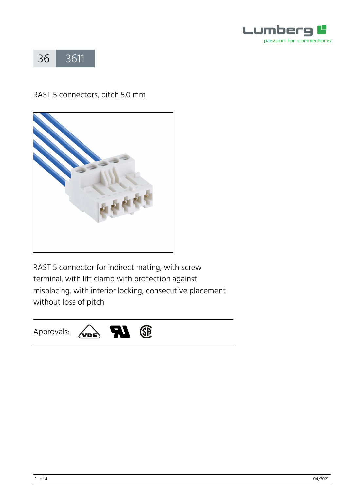



## RAST 5 connectors, pitch 5.0 mm



RAST 5 connector for indirect mating, with screw terminal, with lift clamp with protection against misplacing, with interior locking, consecutive placement without loss of pitch

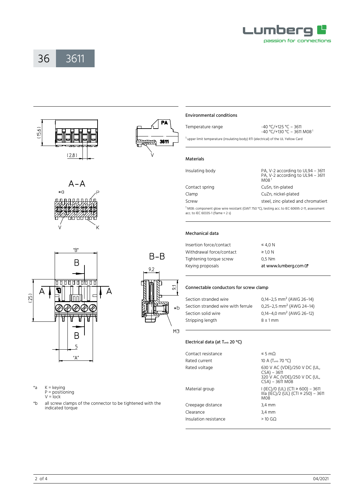

# 36 [3611](https://www.lumberg.com/en/products/product/3611)





 $B - B$ 

 $51$ 

×Ь

M<sub>3</sub>

 $9,2$ 



Temperature range -40 °C/+125 °C – 3611 -40 °C/+130 °C – 3611 M08<sup>1</sup> <sup>1</sup> upper limit temperature (insulating body) RTI (electrical) of the UL Yellow Card

acc. to IEC 60335-1 (flame < 2 s)

#### Mechanical data

Materials

Environmental conditions

| Insertion force/contact  | $\leq 4.0 N$         |
|--------------------------|----------------------|
| Withdrawal force/contact | $\geq$ 1.0 N         |
| Tightening torque screw  | $0.5$ Nm             |
| Keying proposals         | at www.lumberg.com & |

#### Connectable conductors for screw clamp

| Section stranded wire              | 0,14-2,5 mm <sup>2</sup> (AWG 26-14)     |
|------------------------------------|------------------------------------------|
| Section stranded wire with ferrule | 0,25-2,5 mm <sup>2</sup> (AWG 24-14)     |
| Section solid wire                 | $0.14 - 4.0$ mm <sup>2</sup> (AWG 26-12) |
| Stripping length                   | $8 \pm 1$ mm                             |
|                                    |                                          |

#### Electrical data (at T<sub>amb</sub> 20 °C)

| Contact resistance    | $\leq$ 5 m $\Omega$                                                                                  |
|-----------------------|------------------------------------------------------------------------------------------------------|
| Rated current         | 10 A (T <sub>amb</sub> 70 °C)                                                                        |
| Rated voltage         | 630 V AC (VDE)/250 V DC (UL,<br>$CSA$ ) – 3611<br>320 V AC (VDE)/250 V DC (UL,<br>$CSA$ ) – 3611 MO8 |
| Material group        | I (IEC)/0 (UL) (CTI ≥ 600) – 3611<br>III a (IEC)/2 (UL) (CTI = 250) - 3611<br><b>M08</b>             |
| Creepage distance     | $3,4 \, \text{mm}$                                                                                   |
| Clearance             | $3,4 \, \text{mm}$                                                                                   |
| Insulation resistance | $>10$ GQ                                                                                             |

 $A - A$  $*<sub>G</sub>$ 



\*a K = keying

- P = positioning
- $V = \text{lock}$
- \*b all screw clamps of the connector to be tightened with the indicated torque

2 of  $4$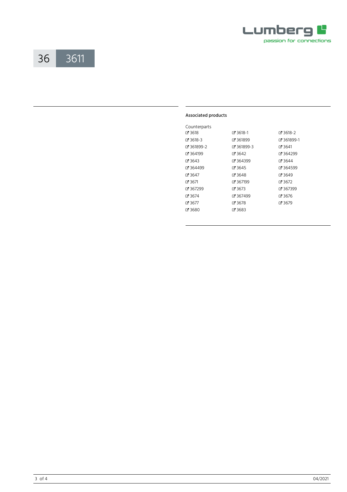

### 3611 36

#### Associated products

| Counterparts |            |            |
|--------------|------------|------------|
| ි 3618       | ේ 3618-1   | ⊈ 3618-2   |
| ේ 3618-3     | Z 361899   | 7361899-1  |
| 7361899-2    | Z 361899-3 | $C = 3641$ |
| 7364199      | ේ 3642     | ₫ 364299   |
| ේ 3643       | ር 364399   | ි 3644     |
| ₹ 364499     | ේ 3645     | ₹ 364599   |
| ේ 3647       | 73648      | ි 3649     |
| ේ 3671       | ርኛ 367199  | ය 3672     |
| ር 367299     | ය 3673     | ♂ 367399   |
| ි 3674       | 7367499    | ි 3676     |
| ේ 3677       | ය 3678     | ේ 3679     |
| 7 3680       | 7 3683     |            |
|              |            |            |